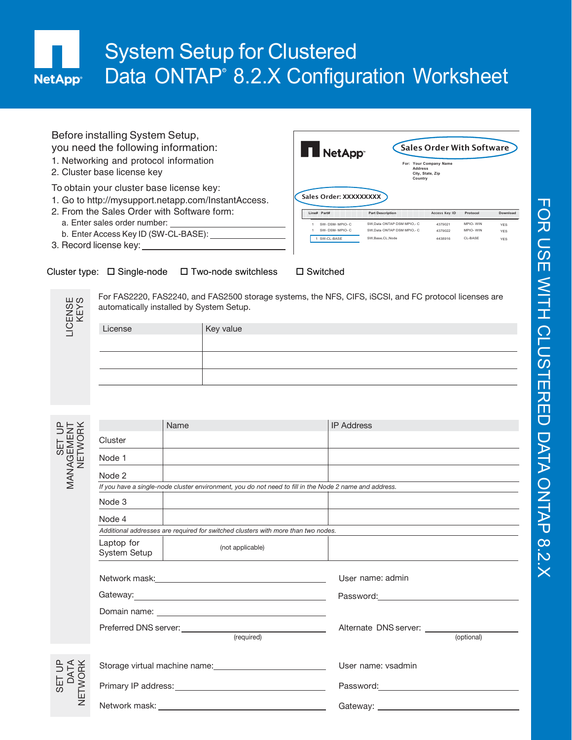## System Setup for Clustered Data ONTAP<sup>®</sup> 8.2.X Configuration Worksheet **NetApp<sup>®</sup>**

| Before installing System Setup,<br>you need the following information:<br>1. Networking and protocol information<br>2. Cluster base license key | <b>I</b> NetApp <sup>®</sup>          | <b>Address</b><br>Country                                | Sales Order With Software<br>For: Your Company Name<br>City, State, Zip |                      |                          |
|-------------------------------------------------------------------------------------------------------------------------------------------------|---------------------------------------|----------------------------------------------------------|-------------------------------------------------------------------------|----------------------|--------------------------|
| To obtain your cluster base license key:<br>1. Go to http://mysupport.netapp.com/InstantAccess.<br>2. From the Sales Order with Software form:  | Sales Order: XXXXXXXXX<br>Line# Part# | <b>Part Description</b>                                  | Access Key ID                                                           | Protocol             | Download                 |
| a. Enter sales order number:                                                                                                                    |                                       |                                                          |                                                                         |                      |                          |
|                                                                                                                                                 | SW-DSM-MPIO-C                         | SW.Data ONTAP DSM MPIO.- C<br>SW.Data ONTAP DSM MPIO.- C | 4379021                                                                 | MPIO-WIN<br>MPIO-WIN | <b>YES</b>               |
| b. Enter Access Key ID (SW-CL-BASE):                                                                                                            | SW-DSM-MPIO-C<br>1 SW-CL-BASE         | SW.Base.CL.Node                                          | 4379022<br>4438916                                                      | CL-BASE              | <b>YFS</b><br><b>YES</b> |

3. Record license key:





LIC E  $\leq$ ഗ is≻<br>N ળ For FAS2220, FAS2240, and FAS2500 storage systems, the NFS, CIFS, iSCSI, and FC protocol licenses are automatically installed by System Setup.

| License | Key value |
|---------|-----------|
|         |           |
|         |           |
|         |           |

| <b>LICEN</b><br>KE              | License                    |      | Key value                                                                                                                                                                                                                      |                                                                                                                                                                                                                                |            |
|---------------------------------|----------------------------|------|--------------------------------------------------------------------------------------------------------------------------------------------------------------------------------------------------------------------------------|--------------------------------------------------------------------------------------------------------------------------------------------------------------------------------------------------------------------------------|------------|
|                                 |                            |      |                                                                                                                                                                                                                                |                                                                                                                                                                                                                                |            |
|                                 |                            |      |                                                                                                                                                                                                                                |                                                                                                                                                                                                                                |            |
|                                 |                            |      |                                                                                                                                                                                                                                |                                                                                                                                                                                                                                |            |
|                                 |                            |      |                                                                                                                                                                                                                                |                                                                                                                                                                                                                                |            |
|                                 |                            |      |                                                                                                                                                                                                                                |                                                                                                                                                                                                                                |            |
|                                 |                            |      |                                                                                                                                                                                                                                |                                                                                                                                                                                                                                |            |
|                                 |                            | Name |                                                                                                                                                                                                                                | <b>IP Address</b>                                                                                                                                                                                                              |            |
|                                 | Cluster                    |      |                                                                                                                                                                                                                                |                                                                                                                                                                                                                                |            |
| SET UP<br>MANAGEMENT<br>NETWORK | Node 1                     |      |                                                                                                                                                                                                                                |                                                                                                                                                                                                                                |            |
|                                 | Node 2                     |      |                                                                                                                                                                                                                                |                                                                                                                                                                                                                                |            |
|                                 |                            |      | If you have a single-node cluster environment, you do not need to fill in the Node 2 name and address.                                                                                                                         |                                                                                                                                                                                                                                |            |
|                                 | Node 3                     |      |                                                                                                                                                                                                                                |                                                                                                                                                                                                                                |            |
|                                 | Node 4                     |      |                                                                                                                                                                                                                                |                                                                                                                                                                                                                                |            |
|                                 |                            |      | Additional addresses are required for switched clusters with more than two nodes.                                                                                                                                              |                                                                                                                                                                                                                                |            |
|                                 | Laptop for<br>System Setup |      | (not applicable)                                                                                                                                                                                                               |                                                                                                                                                                                                                                |            |
|                                 |                            |      | Network mask: Network mask:                                                                                                                                                                                                    | User name: admin                                                                                                                                                                                                               |            |
|                                 |                            |      |                                                                                                                                                                                                                                | Password: National Contract of Contract of Contract of Contract of Contract of Contract of Contract of Contract of Contract of Contract of Contract of Contract of Contract of Contract of Contract of Contract of Contract of |            |
|                                 |                            |      | Domain name: University of the Community of the Community of the Community of the Community of the Community of the Community of the Community of the Community of the Community of the Community of the Community of the Comm |                                                                                                                                                                                                                                |            |
|                                 |                            |      |                                                                                                                                                                                                                                | Alternate DNS server: __________                                                                                                                                                                                               |            |
|                                 |                            |      | (required)                                                                                                                                                                                                                     |                                                                                                                                                                                                                                | (optional) |
|                                 |                            |      |                                                                                                                                                                                                                                | User name: vsadmin                                                                                                                                                                                                             |            |
| SET UP<br>DATA<br>IETWORK       |                            |      |                                                                                                                                                                                                                                | Password: The contract of the contract of the contract of the contract of the contract of the contract of the contract of the contract of the contract of the contract of the contract of the contract of the contract of the  |            |
| Ξ                               | Network mask:              |      | <u> 1989 - Johann Barn, mars eta bainar eta idazlea (h. 1989).</u>                                                                                                                                                             | Gateway: 2000                                                                                                                                                                                                                  |            |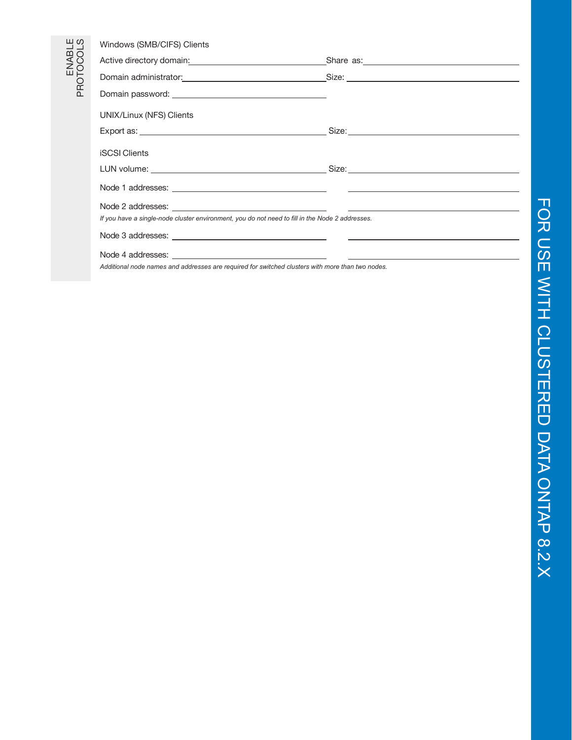| 49                | Windows (SMB/CIFS) Clients                                                                                                                                                                                                          |  |
|-------------------|-------------------------------------------------------------------------------------------------------------------------------------------------------------------------------------------------------------------------------------|--|
|                   | Active directory domain: <u>contractors are assessed</u> as the set of the set of the set of the set of the set of the set of the set of the set of the set of the set of the set of the set of the set of the set of the set of th |  |
| ENABL<br>PROTOCOL | Domain administrator: <u>contract and contract and contract of Size:</u> Compared and Compared and Compared and Compared and Compared and Compared and Compared and Compared and Compared and Compared and Compared and Compared an |  |
|                   |                                                                                                                                                                                                                                     |  |
|                   | UNIX/Linux (NFS) Clients                                                                                                                                                                                                            |  |
|                   |                                                                                                                                                                                                                                     |  |
|                   | <b>iSCSI Clients</b>                                                                                                                                                                                                                |  |
|                   |                                                                                                                                                                                                                                     |  |
|                   |                                                                                                                                                                                                                                     |  |
|                   |                                                                                                                                                                                                                                     |  |
|                   | If you have a single-node cluster environment, you do not need to fill in the Node 2 addresses.                                                                                                                                     |  |
|                   |                                                                                                                                                                                                                                     |  |
|                   |                                                                                                                                                                                                                                     |  |

*Additional node names and addresses are required for switched clusters with more than two nodes.*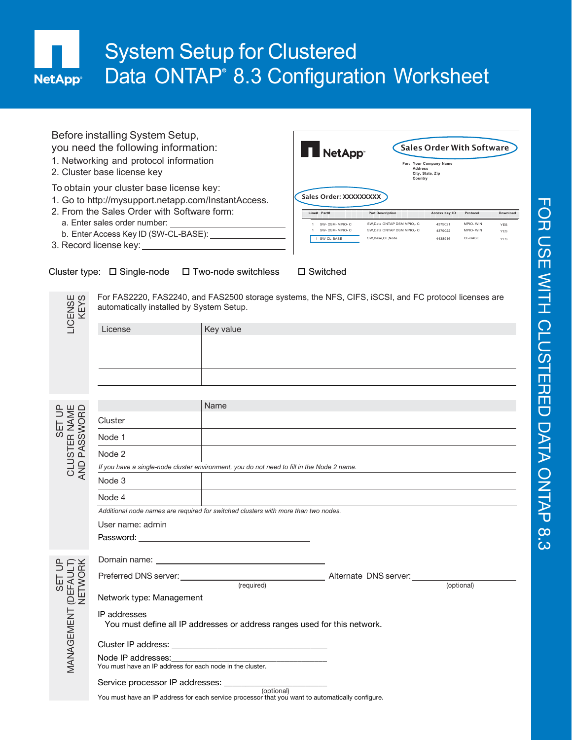## System Setup for Clustered Data ONTAP<sup>®</sup> 8.3 Configuration Worksheet **NetApp<sup>®</sup>**

| Before installing System Setup,<br>you need the following information:<br>1. Networking and protocol information<br>2. Cluster base license key | NetApp <sup>-</sup>                   | <b>Address</b><br>Country  | Sales Order With Software<br>For: Your Company Name<br>City, State, Zip |          |            |
|-------------------------------------------------------------------------------------------------------------------------------------------------|---------------------------------------|----------------------------|-------------------------------------------------------------------------|----------|------------|
| To obtain your cluster base license key:<br>1. Go to http://mysupport.netapp.com/InstantAccess.<br>2. From the Sales Order with Software form:  | Sales Order: XXXXXXXXX<br>Line# Part# | <b>Part Description</b>    | Access Key ID                                                           | Protocol | Download   |
| a. Enter sales order number:                                                                                                                    | SW-DSM-MPIO-C                         | SW.Data ONTAP DSM MPIO.- C | 4379021                                                                 | MPIO-WIN | <b>YES</b> |
| b. Enter Access Key ID (SW-CL-BASE):                                                                                                            | SW-DSM-MPIO-C                         | SW.Data ONTAP DSM MPIO.- C | 4379022                                                                 | MPIO-WIN | <b>YES</b> |
| 3. Record license key:                                                                                                                          | 1 SW-CL-BASE                          | SW.Base.CL.Node            | 4438916                                                                 | CL-BASE  | <b>YES</b> |

## Cluster type:  $\Box$  Single-node  $\Box$  Two-node switchless  $\Box$  Switched

ENSE<br>EKS For FAS2220, FAS2240, and FAS2500 storage systems, the NFS, CIFS, iSCSI, and FC protocol licenses are automatically installed by System Setup.

| -ICENSE<br>KEYS | automatically installed by System Setup. | For FASZZZU, FASZZ40, and FASZ500 storage systems, the NFS, CIFS, ISCSI, and FC protocol licenses are |
|-----------------|------------------------------------------|-------------------------------------------------------------------------------------------------------|
|                 | License                                  | Key value                                                                                             |
|                 |                                          |                                                                                                       |
|                 |                                          |                                                                                                       |
|                 |                                          |                                                                                                       |
|                 |                                          |                                                                                                       |

|                                        |                                                                                            | Name                                                                                                                                                                                                                                 |  |  |
|----------------------------------------|--------------------------------------------------------------------------------------------|--------------------------------------------------------------------------------------------------------------------------------------------------------------------------------------------------------------------------------------|--|--|
|                                        | Cluster                                                                                    |                                                                                                                                                                                                                                      |  |  |
| SET UP<br>CLUSTER NAME<br>AND PASSWORD | Node 1                                                                                     |                                                                                                                                                                                                                                      |  |  |
|                                        | Node 2                                                                                     |                                                                                                                                                                                                                                      |  |  |
|                                        | If you have a single-node cluster environment, you do not need to fill in the Node 2 name. |                                                                                                                                                                                                                                      |  |  |
|                                        | Node 3                                                                                     |                                                                                                                                                                                                                                      |  |  |
|                                        | Node 4                                                                                     |                                                                                                                                                                                                                                      |  |  |
|                                        |                                                                                            | Additional node names are required for switched clusters with more than two nodes.                                                                                                                                                   |  |  |
|                                        | User name: admin                                                                           |                                                                                                                                                                                                                                      |  |  |
|                                        |                                                                                            | Password: The contract of the contract of the contract of the contract of the contract of the contract of the contract of the contract of the contract of the contract of the contract of the contract of the contract of the        |  |  |
| SET UP<br>(DEFAULT)<br>NETWORK         |                                                                                            | Domain name: <u>www.community.com and community of the set of the set of the set of the set of the set of the set of the set of the set of the set of the set of the set of the set of the set of the set of the set of the set </u> |  |  |
|                                        |                                                                                            |                                                                                                                                                                                                                                      |  |  |
|                                        | Network type: Management                                                                   |                                                                                                                                                                                                                                      |  |  |
| MANAGEMENT                             | IP addresses                                                                               | You must define all IP addresses or address ranges used for this network.                                                                                                                                                            |  |  |
|                                        |                                                                                            |                                                                                                                                                                                                                                      |  |  |
|                                        |                                                                                            | Node IP addresses:<br>You must have an IP address for each node in the cluster.                                                                                                                                                      |  |  |
|                                        |                                                                                            | Service processor IP addresses: _______________________<br>(optional)                                                                                                                                                                |  |  |